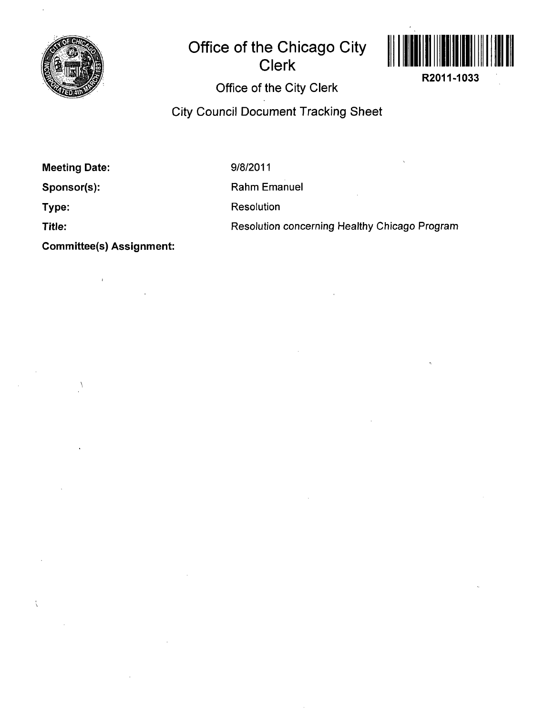

# **Office of the Chicago City Clerk**



R2011-1033

## Office of the City Clerk

City Council Document Tracking Sheet

Meeting Date:

 $\lambda$ 

 $\hat{\mathcal{L}}$ 

9/8/2011

Sponsor(s):

Type:

Title:

Resolution

Rahm Emanuel

Resolution concerning Healthy Chicago Program

Committee(s) Assignment: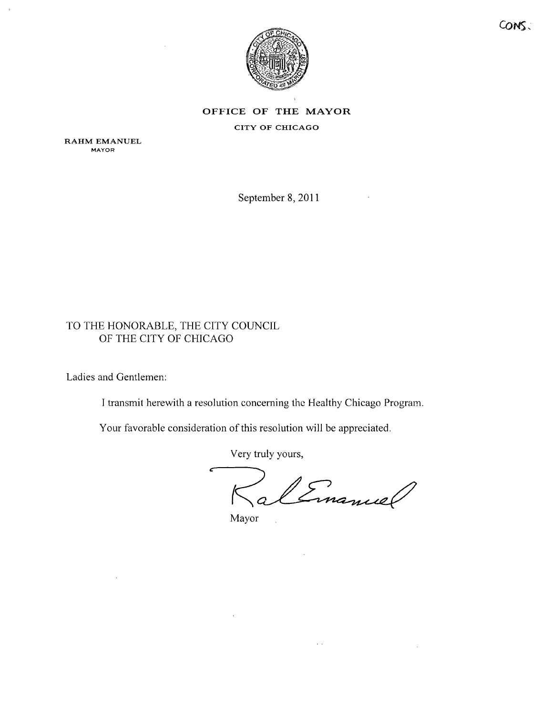

### **OFFICE OF THE MAYOR** CITY OF CHICAGO

RAHM EMANUEL **MAYOR** 

September 8,2011

### TO THE HONORABLE, THE CITY COUNCIL OF THE CITY OF CHICAGO

Ladies and Gentlemen:

I transmit herewith a resolution concerning the Healthy Chicago Program.

Your favorable consideration of this resolution will be appreciated.

Very truly yours,

Cinamiel  $\begin{array}{c} \diagup \\ 0 \end{array}$ 

 $\mathcal{L}(\mathcal{A})$ 

Mayor